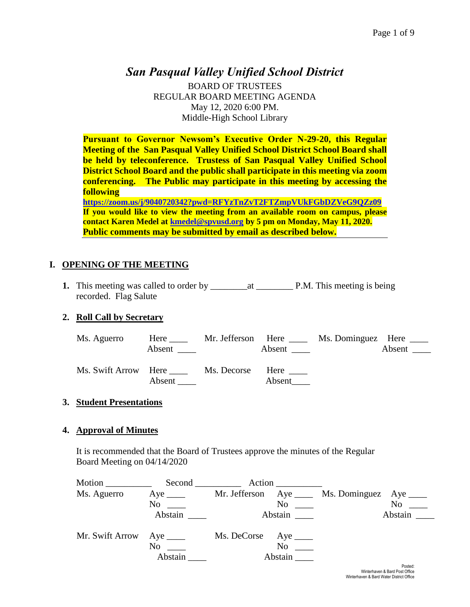# *San Pasqual Valley Unified School District*

BOARD OF TRUSTEES REGULAR BOARD MEETING AGENDA May 12, 2020 6:00 PM. Middle-High School Library

**Pursuant to Governor Newsom's Executive Order N-29-20, this Regular Meeting of the San Pasqual Valley Unified School District School Board shall be held by teleconference. Trustess of San Pasqual Valley Unified School District School Board and the public shall participate in this meeting via zoom conferencing. The Public may participate in this meeting by accessing the following <https://zoom.us/j/9040720342?pwd=RFYzTnZvT2FTZmpVUkFGbDZVeG9QZz09>**

**If you would like to view the meeting from an available room on campus, please contact Karen Medel at [kmedel@spvusd.org](mailto:kmedel@spvusd.org) by 5 pm on Monday, May 11, 2020. Public comments may be submitted by email as described below.** 

# **I. OPENING OF THE MEETING**

**1.** This meeting was called to order by \_\_\_\_\_\_\_\_at \_\_\_\_\_\_\_\_ P.M. This meeting is being recorded. Flag Salute

# **2. Roll Call by Secretary**

| Ms. Aguerro                | Here $\_\_$<br>Absent |                  | Mr. Jefferson Here<br>Absent $\frac{ }{ }$ | Ms. Dominguez Here _____ | Absent $\_\_$ |
|----------------------------|-----------------------|------------------|--------------------------------------------|--------------------------|---------------|
| Ms. Swift Arrow Here _____ | Absent                | Ms. Decorse Here | Absent                                     |                          |               |

# **3. Student Presentations**

# **4. Approval of Minutes**

It is recommended that the Board of Trustees approve the minutes of the Regular Board Meeting on 04/14/2020

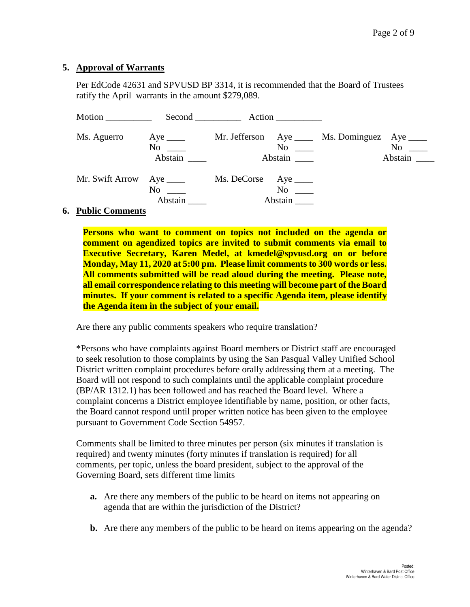#### **5. Approval of Warrants**

Per EdCode 42631 and SPVUSD BP 3314, it is recommended that the Board of Trustees ratify the April warrants in the amount \$279,089.

| Motion                                  |                                    | $Second$ $Action$                                            |                                    |
|-----------------------------------------|------------------------------------|--------------------------------------------------------------|------------------------------------|
| Ms. Aguerro                             | Aye $\_\_\_\_\_\$<br>No<br>Abstain | Mr. Jefferson Aye _____ Ms. Dominguez<br>$\rm No$<br>Abstain | Aye $\_\_$<br>$No \_\_$<br>Abstain |
| Mr. Swift Arrow                         | Aye $\_\_$<br>No<br>Abstain        | Ms. DeCorse Aye ______<br>$No \ \_$<br>Abstain               |                                    |
| $\mathbf{D}$ . kla $\mathbf{C}$ ommonta |                                    |                                                              |                                    |

#### **6. Public Comments**

**Persons who want to comment on topics not included on the agenda or comment on agendized topics are invited to submit comments via email to Executive Secretary, Karen Medel, at kmedel@spvusd.org on or before Monday, May 11, 2020 at 5:00 pm. Please limit comments to 300 words or less. All comments submitted will be read aloud during the meeting. Please note, all email correspondence relating to this meeting will become part of the Board minutes. If your comment is related to a specific Agenda item, please identify the Agenda item in the subject of your email.**

Are there any public comments speakers who require translation?

\*Persons who have complaints against Board members or District staff are encouraged to seek resolution to those complaints by using the San Pasqual Valley Unified School District written complaint procedures before orally addressing them at a meeting. The Board will not respond to such complaints until the applicable complaint procedure (BP/AR 1312.1) has been followed and has reached the Board level. Where a complaint concerns a District employee identifiable by name, position, or other facts, the Board cannot respond until proper written notice has been given to the employee pursuant to Government Code Section 54957.

Comments shall be limited to three minutes per person (six minutes if translation is required) and twenty minutes (forty minutes if translation is required) for all comments, per topic, unless the board president, subject to the approval of the Governing Board, sets different time limits

- **a.** Are there any members of the public to be heard on items not appearing on agenda that are within the jurisdiction of the District?
- **b.** Are there any members of the public to be heard on items appearing on the agenda?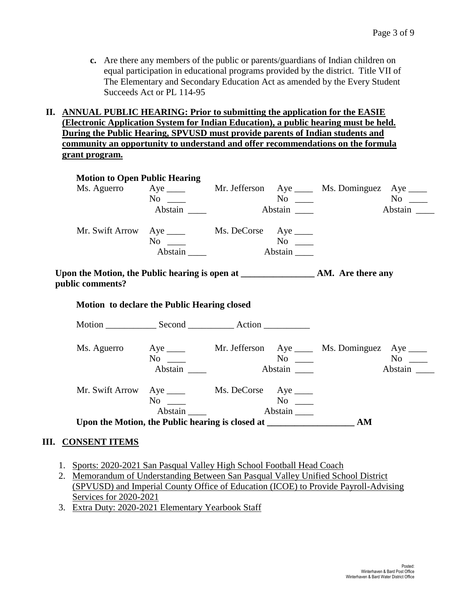**c.** Are there any members of the public or parents/guardians of Indian children on equal participation in educational programs provided by the district. Title VII of The Elementary and Secondary Education Act as amended by the Every Student Succeeds Act or PL 114-95

#### **II. ANNUAL PUBLIC HEARING: Prior to submitting the application for the EASIE (Electronic Application System for Indian Education), a public hearing must be held. During the Public Hearing, SPVUSD must provide parents of Indian students and community an opportunity to understand and offer recommendations on the formula grant program.**

|                                                  | <b>Motion to Open Public Hearing</b> |                 |                |                                                                      |                        |
|--------------------------------------------------|--------------------------------------|-----------------|----------------|----------------------------------------------------------------------|------------------------|
|                                                  |                                      |                 |                | Ms. Aguerro Aye _____ Mr. Jefferson Aye _____ Ms. Dominguez Aye ____ |                        |
|                                                  | $No \_\_$                            |                 |                |                                                                      |                        |
|                                                  | Abstain                              |                 | Abstain ______ |                                                                      | Abstain                |
| Mr. Swift Arrow Aye _____ Ms. DeCorse Aye ____   | No<br>Abstain                        | Abstain         |                |                                                                      |                        |
| public comments?                                 |                                      |                 |                |                                                                      |                        |
|                                                  |                                      |                 |                |                                                                      |                        |
| Motion to declare the Public Hearing closed      |                                      |                 |                |                                                                      |                        |
|                                                  |                                      |                 |                |                                                                      |                        |
|                                                  |                                      |                 |                |                                                                      |                        |
|                                                  | No                                   |                 |                | Ms. Aguerro Aye _____ Mr. Jefferson Aye _____ Ms. Dominguez Aye ____ | $\mathbf{N}\mathbf{o}$ |
|                                                  | Abstain                              |                 | $N_{\rm O}$    |                                                                      |                        |
|                                                  |                                      |                 |                |                                                                      | Abstain                |
| Mr. Swift Arrow Aye ______ Ms. DeCorse Aye _____ | $No \ \_$                            |                 |                |                                                                      |                        |
|                                                  |                                      | Abstain Abstain |                |                                                                      |                        |

#### **III. CONSENT ITEMS**

- 1. Sports: 2020-2021 San Pasqual Valley High School Football Head Coach
- 2. Memorandum of Understanding Between San Pasqual Valley Unified School District (SPVUSD) and Imperial County Office of Education (ICOE) to Provide Payroll-Advising Services for 2020-2021
- 3. Extra Duty: 2020-2021 Elementary Yearbook Staff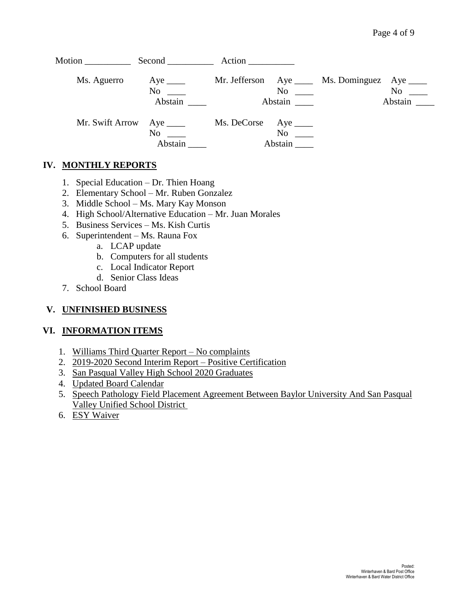| Motion          | Second <u>second</u>                      |                        |                     |                                                 |                                                                                                                                                                                                                                          |
|-----------------|-------------------------------------------|------------------------|---------------------|-------------------------------------------------|------------------------------------------------------------------------------------------------------------------------------------------------------------------------------------------------------------------------------------------|
| Ms. Aguerro     | Aye $\_\_\_\_\_\$<br>No<br>Abstain        |                        | $\rm No$<br>Abstain | Mr. Jefferson Aye _____ Ms. Dominguez Aye _____ | No note that the set of the set of the set of the set of the set of the set of the set of the set of the set of the set of the set of the set of the set of the set of the set of the set of the set of the set of the set of<br>Abstain |
| Mr. Swift Arrow | Aye $\_\_\_\_\_\$<br>$No \ \_$<br>Abstain | Ms. DeCorse Aye ______ | No<br>Abstain       |                                                 |                                                                                                                                                                                                                                          |

#### **IV. MONTHLY REPORTS**

- 1. Special Education Dr. Thien Hoang
- 2. Elementary School Mr. Ruben Gonzalez
- 3. Middle School Ms. Mary Kay Monson
- 4. High School/Alternative Education Mr. Juan Morales
- 5. Business Services Ms. Kish Curtis
- 6. Superintendent Ms. Rauna Fox
	- a. LCAP update
	- b. Computers for all students
	- c. Local Indicator Report
	- d. Senior Class Ideas
- 7. School Board

#### **V. UNFINISHED BUSINESS**

#### **VI. INFORMATION ITEMS**

- 1. Williams Third Quarter Report No complaints
- 2. 2019-2020 Second Interim Report Positive Certification
- 3. San Pasqual Valley High School 2020 Graduates
- 4. Updated Board Calendar
- 5. Speech Pathology Field Placement Agreement Between Baylor University And San Pasqual Valley Unified School District
- 6. ESY Waiver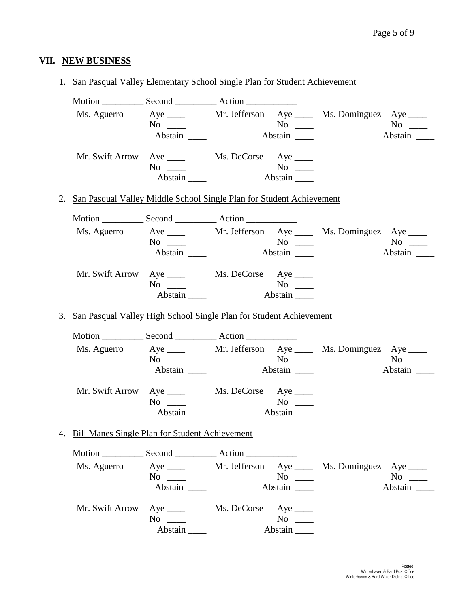# **VII. NEW BUSINESS**

1. San Pasqual Valley Elementary School Single Plan for Student Achievement

|                                                                         | Ms. Aguerro Aye _____ Mr. Jefferson Aye ____ Ms. Dominguez Aye ____ |                        |                 |                                                           |           |
|-------------------------------------------------------------------------|---------------------------------------------------------------------|------------------------|-----------------|-----------------------------------------------------------|-----------|
|                                                                         | $No \ \_$                                                           |                        | $No \ \_$       |                                                           | $No \ \_$ |
|                                                                         |                                                                     |                        | Abstain         |                                                           | Abstain   |
|                                                                         | Mr. Swift Arrow Aye _____ Ms. DeCorse Aye ____                      |                        |                 |                                                           |           |
|                                                                         | $No \ \_$                                                           |                        | $No \ \_$       |                                                           |           |
|                                                                         | Abstain $\_\_\_\_\$                                                 |                        | Abstain         |                                                           |           |
| 2. San Pasqual Valley Middle School Single Plan for Student Achievement |                                                                     |                        |                 |                                                           |           |
|                                                                         |                                                                     |                        |                 |                                                           |           |
|                                                                         | Ms. Aguerro Aye _____ Mr. Jefferson Aye ____ Ms. Dominguez Aye ____ |                        |                 |                                                           |           |
|                                                                         | $No \ \_$                                                           | $\overline{\text{No}}$ |                 |                                                           | $No \ \_$ |
|                                                                         |                                                                     |                        | Abstain _______ |                                                           | Abstain   |
| Mr. Swift Arrow                                                         | Aye _______ Ms. DeCorse Aye _____                                   |                        |                 |                                                           |           |
|                                                                         | $No \_\_$                                                           |                        | $No \ \_$       |                                                           |           |
|                                                                         | Abstain                                                             |                        |                 |                                                           |           |
| 3. San Pasqual Valley High School Single Plan for Student Achievement   |                                                                     |                        |                 |                                                           |           |
|                                                                         |                                                                     |                        |                 |                                                           |           |
|                                                                         |                                                                     |                        |                 |                                                           |           |
|                                                                         | Ms. Aguerro Aye _____ Mr. Jefferson Aye ____ Ms. Dominguez Aye ____ |                        |                 |                                                           |           |
|                                                                         | $No \ \_$                                                           |                        |                 |                                                           | $No \ \_$ |
|                                                                         | Abstain                                                             |                        |                 |                                                           |           |
|                                                                         | Mr. Swift Arrow Aye _____ Ms. DeCorse Aye ____                      |                        |                 |                                                           |           |
|                                                                         | $No \ \_$                                                           |                        | $No \ \_$       |                                                           |           |
|                                                                         | Abstain                                                             |                        |                 |                                                           |           |
| 4. Bill Manes Single Plan for Student Achievement                       |                                                                     |                        |                 |                                                           |           |
|                                                                         |                                                                     |                        |                 |                                                           |           |
| Ms. Aguerro                                                             |                                                                     |                        |                 | Aye ______ Mr. Jefferson Aye _____ Ms. Dominguez Aye ____ |           |
|                                                                         | $No \_\_$                                                           |                        | $No \ \_$       |                                                           | $No \_\_$ |
|                                                                         | Abstain                                                             |                        | Abstain         |                                                           | Abstain   |
| Mr. Swift Arrow                                                         | $Aye$ <sub>____</sub>                                               | Ms. DeCorse Aye ______ |                 |                                                           |           |
|                                                                         | $No \_$                                                             |                        | $No \t —$       |                                                           |           |
|                                                                         |                                                                     |                        |                 |                                                           |           |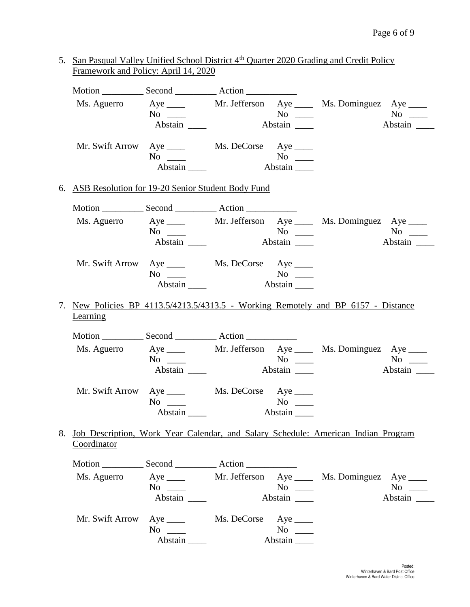| 5. San Pasqual Valley Unified School District 4 <sup>th</sup> Quarter 2020 Grading and Credit Policy<br>Framework and Policy: April 14, 2020 |                                                                                  |                       |                                             |           |
|----------------------------------------------------------------------------------------------------------------------------------------------|----------------------------------------------------------------------------------|-----------------------|---------------------------------------------|-----------|
|                                                                                                                                              |                                                                                  |                       |                                             |           |
|                                                                                                                                              | Ms. Aguerro Aye _____ Mr. Jefferson Aye ____ Ms. Dominguez Aye ____<br>$No \ \_$ |                       | $\overline{N_0}$                            | $No \ \_$ |
|                                                                                                                                              |                                                                                  |                       |                                             | Abstain   |
|                                                                                                                                              | Mr. Swift Arrow Aye _____ Ms. DeCorse Aye ____<br>$No \ \_$                      |                       | $\overline{N_{0}}$ $\overline{\phantom{0}}$ |           |
|                                                                                                                                              | $Abstain$ <sub>_____</sub>                                                       |                       | Abstain                                     |           |
| 6. ASB Resolution for 19-20 Senior Student Body Fund                                                                                         |                                                                                  |                       |                                             |           |
|                                                                                                                                              |                                                                                  |                       |                                             |           |
|                                                                                                                                              | Ms. Aguerro Aye _____ Mr. Jefferson Aye ____ Ms. Dominguez Aye ____              |                       |                                             |           |
|                                                                                                                                              | Abstain                                                                          | $N$ o $\_\_$          |                                             | Abstain   |
|                                                                                                                                              |                                                                                  |                       |                                             |           |
| Mr. Swift Arrow                                                                                                                              |                                                                                  |                       |                                             |           |
|                                                                                                                                              | $No \ \_$<br>Abstain                                                             |                       | Abstain                                     |           |
|                                                                                                                                              |                                                                                  |                       |                                             |           |
| 7. New Policies BP 4113.5/4213.5/4313.5 - Working Remotely and BP 6157 - Distance<br>Learning                                                |                                                                                  |                       |                                             |           |
|                                                                                                                                              |                                                                                  |                       |                                             |           |
| Ms. Aguerro                                                                                                                                  | Aye ______ Mr. Jefferson Aye _____ Ms. Dominguez Aye ____                        |                       |                                             |           |
|                                                                                                                                              | $No \ \_$                                                                        |                       |                                             | $No \ \_$ |
|                                                                                                                                              | Abstain                                                                          |                       |                                             |           |
|                                                                                                                                              | Mr. Swift Arrow Aye ______ Ms. DeCorse Aye _____                                 |                       |                                             |           |
|                                                                                                                                              | $No \ \_$                                                                        |                       | $No \ \_$                                   |           |
|                                                                                                                                              | Abstain                                                                          |                       | Abstain                                     |           |
| 8.<br><u>Job Description, Work Year Calendar, and Salary Schedule: American Indian Program</u><br>Coordinator                                |                                                                                  |                       |                                             |           |
| Motion _______________ Second ________________ Action __________________________                                                             |                                                                                  |                       |                                             |           |
|                                                                                                                                              | Ms. Aguerro Aye _____ Mr. Jefferson Aye ____ Ms. Dominguez Aye ____              |                       |                                             |           |
|                                                                                                                                              | $No \ \_$                                                                        |                       | $No \ \_$                                   | $No \ \_$ |
|                                                                                                                                              | Abstain                                                                          |                       | Abstain                                     | Abstain   |
| Mr. Swift Arrow                                                                                                                              | $Aye$ <sub>____</sub>                                                            | Ms. DeCorse Aye _____ |                                             |           |
|                                                                                                                                              | $No \ \_$                                                                        |                       | $No \ \_$                                   |           |
|                                                                                                                                              | Abstain                                                                          |                       | Abstain                                     |           |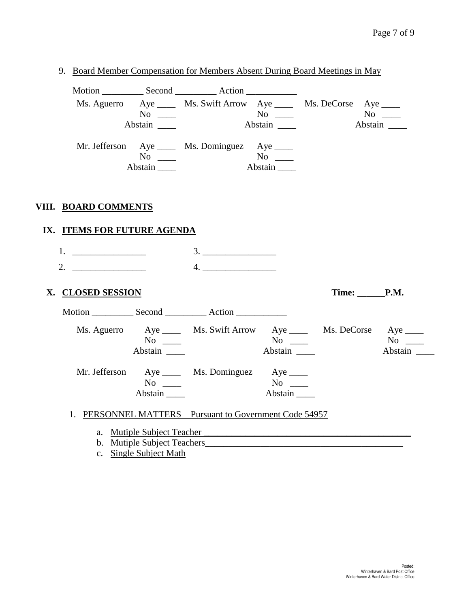9. Board Member Compensation for Members Absent During Board Meetings in May

| Ms. Aguerro Aye _____ Ms. Swift Arrow Aye _____ Ms. DeCorse Aye ____<br>$No \ \_$<br>$No \ \_$<br>Abstain<br>Abstain<br>Abstain<br>Mr. Jefferson Aye _____ Ms. Dominguez Aye ____<br>$No \_\_$<br>Abstain<br>Abstain<br>VIII. BOARD COMMENTS<br>IX. ITEMS FOR FUTURE AGENDA<br>3.<br>1. $\qquad \qquad$<br>2. $\qquad \qquad$<br>4.<br>Time: P.M.<br>X. CLOSED SESSION<br>Ms. Aguerro Aye ______ Ms. Swift Arrow Aye ______ Ms. DeCorse Aye _____<br>$No \ \_$<br>$\overline{N_{0}}$ $\overline{\phantom{0}}$<br>Abstain<br>Abstain $\qquad$<br>Mr. Jefferson Aye _____ Ms. Dominguez Aye _____<br>$No \ \_$<br>Abstain<br>Abstain |  |  |  |         |
|------------------------------------------------------------------------------------------------------------------------------------------------------------------------------------------------------------------------------------------------------------------------------------------------------------------------------------------------------------------------------------------------------------------------------------------------------------------------------------------------------------------------------------------------------------------------------------------------------------------------------------|--|--|--|---------|
|                                                                                                                                                                                                                                                                                                                                                                                                                                                                                                                                                                                                                                    |  |  |  |         |
|                                                                                                                                                                                                                                                                                                                                                                                                                                                                                                                                                                                                                                    |  |  |  |         |
|                                                                                                                                                                                                                                                                                                                                                                                                                                                                                                                                                                                                                                    |  |  |  |         |
|                                                                                                                                                                                                                                                                                                                                                                                                                                                                                                                                                                                                                                    |  |  |  |         |
|                                                                                                                                                                                                                                                                                                                                                                                                                                                                                                                                                                                                                                    |  |  |  |         |
|                                                                                                                                                                                                                                                                                                                                                                                                                                                                                                                                                                                                                                    |  |  |  |         |
|                                                                                                                                                                                                                                                                                                                                                                                                                                                                                                                                                                                                                                    |  |  |  |         |
|                                                                                                                                                                                                                                                                                                                                                                                                                                                                                                                                                                                                                                    |  |  |  |         |
|                                                                                                                                                                                                                                                                                                                                                                                                                                                                                                                                                                                                                                    |  |  |  |         |
|                                                                                                                                                                                                                                                                                                                                                                                                                                                                                                                                                                                                                                    |  |  |  |         |
|                                                                                                                                                                                                                                                                                                                                                                                                                                                                                                                                                                                                                                    |  |  |  |         |
|                                                                                                                                                                                                                                                                                                                                                                                                                                                                                                                                                                                                                                    |  |  |  |         |
|                                                                                                                                                                                                                                                                                                                                                                                                                                                                                                                                                                                                                                    |  |  |  |         |
|                                                                                                                                                                                                                                                                                                                                                                                                                                                                                                                                                                                                                                    |  |  |  |         |
|                                                                                                                                                                                                                                                                                                                                                                                                                                                                                                                                                                                                                                    |  |  |  |         |
|                                                                                                                                                                                                                                                                                                                                                                                                                                                                                                                                                                                                                                    |  |  |  |         |
|                                                                                                                                                                                                                                                                                                                                                                                                                                                                                                                                                                                                                                    |  |  |  |         |
|                                                                                                                                                                                                                                                                                                                                                                                                                                                                                                                                                                                                                                    |  |  |  |         |
|                                                                                                                                                                                                                                                                                                                                                                                                                                                                                                                                                                                                                                    |  |  |  | Abstain |
|                                                                                                                                                                                                                                                                                                                                                                                                                                                                                                                                                                                                                                    |  |  |  |         |
|                                                                                                                                                                                                                                                                                                                                                                                                                                                                                                                                                                                                                                    |  |  |  |         |
|                                                                                                                                                                                                                                                                                                                                                                                                                                                                                                                                                                                                                                    |  |  |  |         |
|                                                                                                                                                                                                                                                                                                                                                                                                                                                                                                                                                                                                                                    |  |  |  |         |

- 1. PERSONNEL MATTERS Pursuant to Government Code 54957
	- a. Mutiple Subject Teacher
	- b. Mutiple Subject Teachers
	- c. Single Subject Math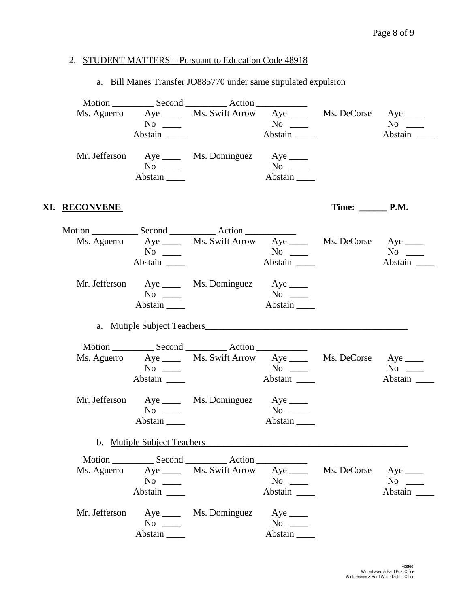#### 2. STUDENT MATTERS – Pursuant to Education Code 48918

#### a. Bill Manes Transfer JO885770 under same stipulated expulsion

|                      | $No \ \_$                                 | Ms. Aguerro Aye _____ Ms. Swift Arrow Aye _____ Ms. DeCorse Aye ____ | $\overline{N_0}$ $\overline{\phantom{0}}$<br>Abstain _______ |                        | $No \ \_$            |
|----------------------|-------------------------------------------|----------------------------------------------------------------------|--------------------------------------------------------------|------------------------|----------------------|
|                      | $No \ \_$                                 | Mr. Jefferson Aye _____ Ms. Dominguez Aye ____                       | $No \ \_$                                                    |                        |                      |
|                      | Abstain                                   |                                                                      | Abstain                                                      |                        |                      |
| XI. <u>RECONVENE</u> |                                           |                                                                      |                                                              |                        |                      |
|                      | $\overline{N_0}$ $\overline{\phantom{0}}$ | Ms. Aguerro Aye _____ Ms. Swift Arrow Aye _____ Ms. DeCorse Aye ____ | Abstain $\_\_\_\$                                            |                        | $No \ \_$<br>Abstain |
|                      | $No \ \_$<br>Abstain                      | Mr. Jefferson Aye _____ Ms. Dominguez Aye ____                       | $No \ \_$<br>Abstain                                         |                        |                      |
|                      |                                           |                                                                      |                                                              |                        |                      |
|                      | No $\qquad$<br>Abstain                    | Ms. Aguerro Aye _____ Ms. Swift Arrow Aye _____ Ms. DeCorse Aye ____ | $\overline{N_0}$ $\overline{\phantom{0}}$                    |                        | $No \ \_$            |
|                      | $No \ \_$<br>Abstain                      | Mr. Jefferson Aye _____ Ms. Dominguez Aye ____                       | $No \ \_$<br>Abstain                                         |                        |                      |
|                      | b. Mutiple Subject Teachers               |                                                                      |                                                              |                        |                      |
|                      | $No \ \_$                                 | Ms. Aguerro Aye _____ Ms. Swift Arrow Aye _____                      | $No \ \_$<br>Abstain                                         | Ms. DeCorse Aye ______ | $No \_$<br>Abstain   |
| Mr. Jefferson        | $No \ \_$<br>Abstain                      | Aye ________ Ms. Dominguez                                           | Aye $\rule{1em}{0.15mm}$<br>$No \ \_$<br>Abstain             |                        |                      |